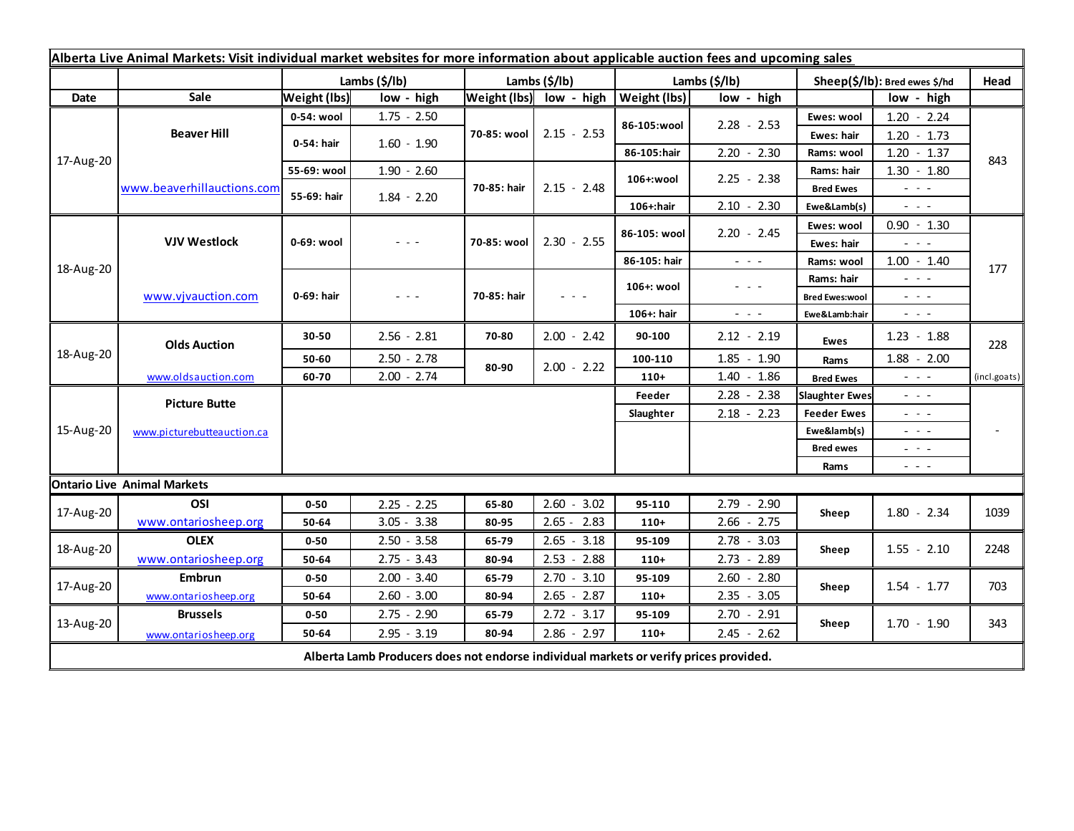| Alberta Live Animal Markets: Visit individual market websites for more information about applicable auction fees and upcoming sales |                            |                     |               |               |                         |                           |                                                           |                               |                                                                                                                           |              |
|-------------------------------------------------------------------------------------------------------------------------------------|----------------------------|---------------------|---------------|---------------|-------------------------|---------------------------|-----------------------------------------------------------|-------------------------------|---------------------------------------------------------------------------------------------------------------------------|--------------|
|                                                                                                                                     |                            | Lambs (\$/lb)       |               | Lambs (\$/lb) |                         | Lambs $(\frac{2}{3})$ lb) |                                                           | Sheep(\$/lb): Bred ewes \$/hd |                                                                                                                           | Head         |
| Date                                                                                                                                | Sale                       | <b>Weight (lbs)</b> | low - high    |               | Weight (lbs) low - high | <b>Weight (lbs)</b>       | low - high                                                |                               | low - high                                                                                                                |              |
| 17-Aug-20                                                                                                                           | <b>Beaver Hill</b>         | 0-54: wool          | $1.75 - 2.50$ | 70-85: wool   | $2.15 - 2.53$           | 86-105:wool               | $2.28 - 2.53$                                             | Ewes: wool                    | $1.20 - 2.24$                                                                                                             |              |
|                                                                                                                                     |                            | 0-54: hair          | $1.60 - 1.90$ |               |                         |                           |                                                           | Ewes: hair                    | $1.20 - 1.73$                                                                                                             |              |
|                                                                                                                                     |                            |                     |               |               |                         | 86-105:hair               | $2.20 - 2.30$                                             | Rams: wool                    | $1.20 - 1.37$                                                                                                             | 843          |
|                                                                                                                                     | www.beaverhillauctions.com | 55-69: wool         | $1.90 - 2.60$ | 70-85: hair   | $2.15 - 2.48$           | 106+:wool                 | $2.25 - 2.38$                                             | Rams: hair                    | $1.30 - 1.80$                                                                                                             |              |
|                                                                                                                                     |                            | 55-69: hair         | $1.84 - 2.20$ |               |                         |                           |                                                           | <b>Bred Ewes</b>              | $  -$                                                                                                                     |              |
|                                                                                                                                     |                            |                     |               |               |                         | 106+:hair                 | $2.10 - 2.30$                                             | Ewe&Lamb(s)                   | - - -                                                                                                                     |              |
| 18-Aug-20                                                                                                                           | <b>VJV Westlock</b>        | 0-69: wool          | $  -$         | 70-85: wool   | $2.30 - 2.55$           | 86-105: wool              | $2.20 - 2.45$                                             | Ewes: wool                    | $0.90 - 1.30$                                                                                                             |              |
|                                                                                                                                     |                            |                     |               |               |                         |                           |                                                           | Ewes: hair                    | $  -$                                                                                                                     |              |
|                                                                                                                                     |                            |                     |               |               |                         | 86-105: hair              | $\omega_{\rm{c}}$ , $\omega_{\rm{c}}$ , $\omega_{\rm{c}}$ | Rams: wool                    | $1.00 - 1.40$                                                                                                             | 177          |
|                                                                                                                                     | www.vjvauction.com         | 0-69: hair          | $  -$         | 70-85: hair   | $  -$                   | 106+: wool                | $  -$                                                     | Rams: hair                    | $  -$                                                                                                                     |              |
|                                                                                                                                     |                            |                     |               |               |                         |                           |                                                           | <b>Bred Ewes:wool</b>         | $  -$                                                                                                                     |              |
|                                                                                                                                     |                            |                     |               |               |                         | 106+: hair                | - - -                                                     | Ewe&Lamb:hair                 | $\frac{1}{2} \left( \frac{1}{2} \right) \left( \frac{1}{2} \right) \left( \frac{1}{2} \right) \left( \frac{1}{2} \right)$ |              |
| 18-Aug-20                                                                                                                           | <b>Olds Auction</b>        | 30-50               | $2.56 - 2.81$ | 70-80         | $2.00 - 2.42$           | 90-100                    | $2.12 - 2.19$                                             | Ewes                          | $1.23 - 1.88$                                                                                                             | 228          |
|                                                                                                                                     |                            | 50-60               | $2.50 - 2.78$ | 80-90         | $2.00 - 2.22$           | 100-110                   | $1.85 - 1.90$                                             | Rams                          | $1.88 - 2.00$                                                                                                             |              |
|                                                                                                                                     | www.oldsauction.com        | 60-70               | $2.00 - 2.74$ |               |                         | $110+$                    | $1.40 - 1.86$                                             | <b>Bred Ewes</b>              | $\frac{1}{2} \left( \frac{1}{2} \right) \left( \frac{1}{2} \right) \left( \frac{1}{2} \right) \left( \frac{1}{2} \right)$ | (incl.goats) |
| 15-Aug-20                                                                                                                           | <b>Picture Butte</b>       |                     |               |               |                         | Feeder                    | $2.28 - 2.38$                                             | <b>Slaughter Ewes</b>         | $  -$                                                                                                                     |              |
|                                                                                                                                     | www.picturebutteauction.ca |                     |               |               |                         | Slaughter                 | $2.18 - 2.23$                                             | <b>Feeder Ewes</b>            | $  -$                                                                                                                     |              |
|                                                                                                                                     |                            |                     |               |               |                         |                           |                                                           | Ewe&lamb(s)<br>20 A G         |                                                                                                                           |              |
|                                                                                                                                     |                            |                     |               |               |                         |                           |                                                           | <b>Bred ewes</b>              | $\sim$ $\sim$ $\sim$                                                                                                      |              |
|                                                                                                                                     |                            |                     |               |               |                         |                           |                                                           | Rams                          | $\frac{1}{2} \left( \frac{1}{2} \right) \frac{1}{2} \left( \frac{1}{2} \right) \frac{1}{2} \left( \frac{1}{2} \right)$    |              |
| <b>Ontario Live Animal Markets</b>                                                                                                  |                            |                     |               |               |                         |                           |                                                           |                               |                                                                                                                           |              |
| 17-Aug-20                                                                                                                           | OSI                        | $0 - 50$            | $2.25 - 2.25$ | 65-80         | $2.60 - 3.02$           | 95-110                    | $2.79 - 2.90$                                             | Sheep                         | $1.80 - 2.34$                                                                                                             | 1039         |
|                                                                                                                                     | www.ontariosheep.org       | 50-64               | $3.05 - 3.38$ | 80-95         | $2.65 - 2.83$           | $110+$                    | $2.66 - 2.75$                                             |                               |                                                                                                                           |              |
| 18-Aug-20                                                                                                                           | <b>OLEX</b>                | $0 - 50$            | $2.50 - 3.58$ | 65-79         | $2.65 - 3.18$           | 95-109                    | $2.78 - 3.03$                                             | Sheep                         | $1.55 - 2.10$                                                                                                             | 2248         |
|                                                                                                                                     | www.ontariosheep.org       | 50-64               | $2.75 - 3.43$ | 80-94         | $2.53 - 2.88$           | $110+$                    | $2.73 - 2.89$                                             |                               |                                                                                                                           |              |
| 17-Aug-20                                                                                                                           | <b>Embrun</b>              | $0 - 50$            | $2.00 - 3.40$ | 65-79         | $2.70 - 3.10$           | 95-109                    | $2.60 - 2.80$                                             | Sheep                         | $1.54 - 1.77$                                                                                                             | 703          |
|                                                                                                                                     | www.ontariosheep.org       | 50-64               | $2.60 - 3.00$ | 80-94         | $2.65 - 2.87$           | $110+$                    | $2.35 - 3.05$                                             |                               |                                                                                                                           |              |
| 13-Aug-20                                                                                                                           | <b>Brussels</b>            | $0 - 50$            | $2.75 - 2.90$ | 65-79         | $2.72 - 3.17$           | 95-109                    | $2.70 - 2.91$                                             | Sheep                         | $1.70 - 1.90$                                                                                                             | 343          |
|                                                                                                                                     | www.ontariosheep.org       | 50-64               | $2.95 - 3.19$ | 80-94         | $2.86 - 2.97$           | $110+$                    | $2.45 - 2.62$                                             |                               |                                                                                                                           |              |
| Alberta Lamb Producers does not endorse individual markets or verify prices provided.                                               |                            |                     |               |               |                         |                           |                                                           |                               |                                                                                                                           |              |